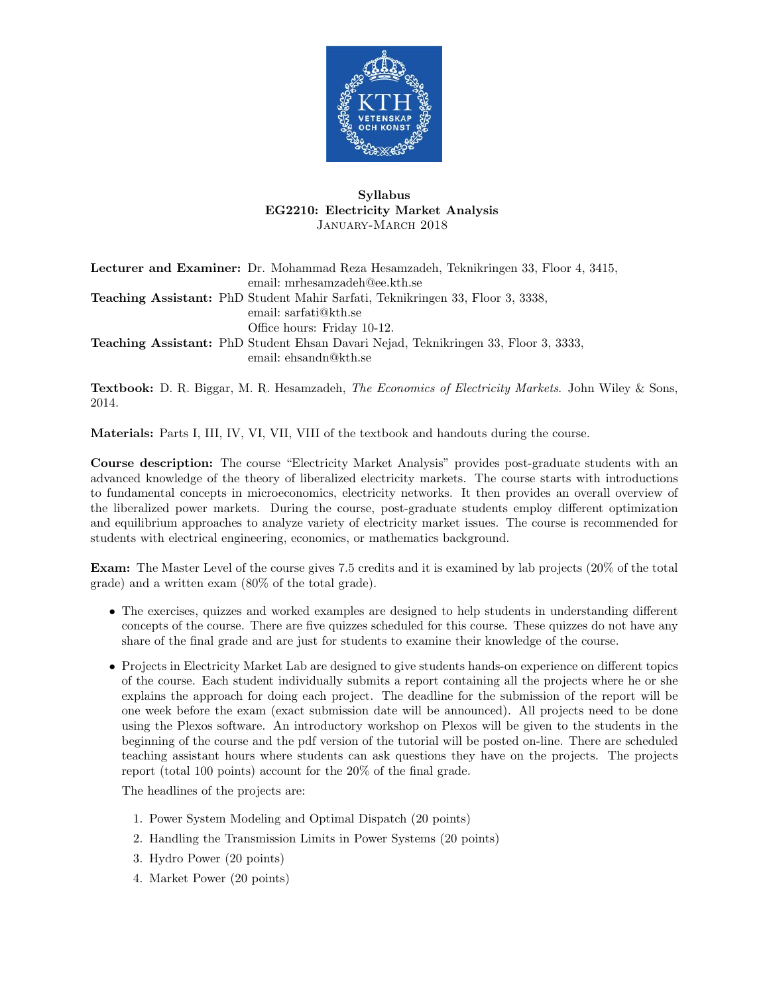

## Syllabus EG2210: Electricity Market Analysis January-March 2018

Lecturer and Examiner: Dr. Mohammad Reza Hesamzadeh, Teknikringen 33, Floor 4, 3415, email: mrhesamzadeh@ee.kth.se Teaching Assistant: PhD Student Mahir Sarfati, Teknikringen 33, Floor 3, 3338, email: sarfati@kth.se Office hours: Friday 10-12. Teaching Assistant: PhD Student Ehsan Davari Nejad, Teknikringen 33, Floor 3, 3333, email: ehsandn@kth.se

Textbook: D. R. Biggar, M. R. Hesamzadeh, The Economics of Electricity Markets. John Wiley & Sons, 2014.

Materials: Parts I, III, IV, VI, VII, VIII of the textbook and handouts during the course.

Course description: The course "Electricity Market Analysis" provides post-graduate students with an advanced knowledge of the theory of liberalized electricity markets. The course starts with introductions to fundamental concepts in microeconomics, electricity networks. It then provides an overall overview of the liberalized power markets. During the course, post-graduate students employ different optimization and equilibrium approaches to analyze variety of electricity market issues. The course is recommended for students with electrical engineering, economics, or mathematics background.

Exam: The Master Level of the course gives 7.5 credits and it is examined by lab projects (20% of the total grade) and a written exam (80% of the total grade).

- The exercises, quizzes and worked examples are designed to help students in understanding different concepts of the course. There are five quizzes scheduled for this course. These quizzes do not have any share of the final grade and are just for students to examine their knowledge of the course.
- Projects in Electricity Market Lab are designed to give students hands-on experience on different topics of the course. Each student individually submits a report containing all the projects where he or she explains the approach for doing each project. The deadline for the submission of the report will be one week before the exam (exact submission date will be announced). All projects need to be done using the Plexos software. An introductory workshop on Plexos will be given to the students in the beginning of the course and the pdf version of the tutorial will be posted on-line. There are scheduled teaching assistant hours where students can ask questions they have on the projects. The projects report (total 100 points) account for the 20% of the final grade.

The headlines of the projects are:

- 1. Power System Modeling and Optimal Dispatch (20 points)
- 2. Handling the Transmission Limits in Power Systems (20 points)
- 3. Hydro Power (20 points)
- 4. Market Power (20 points)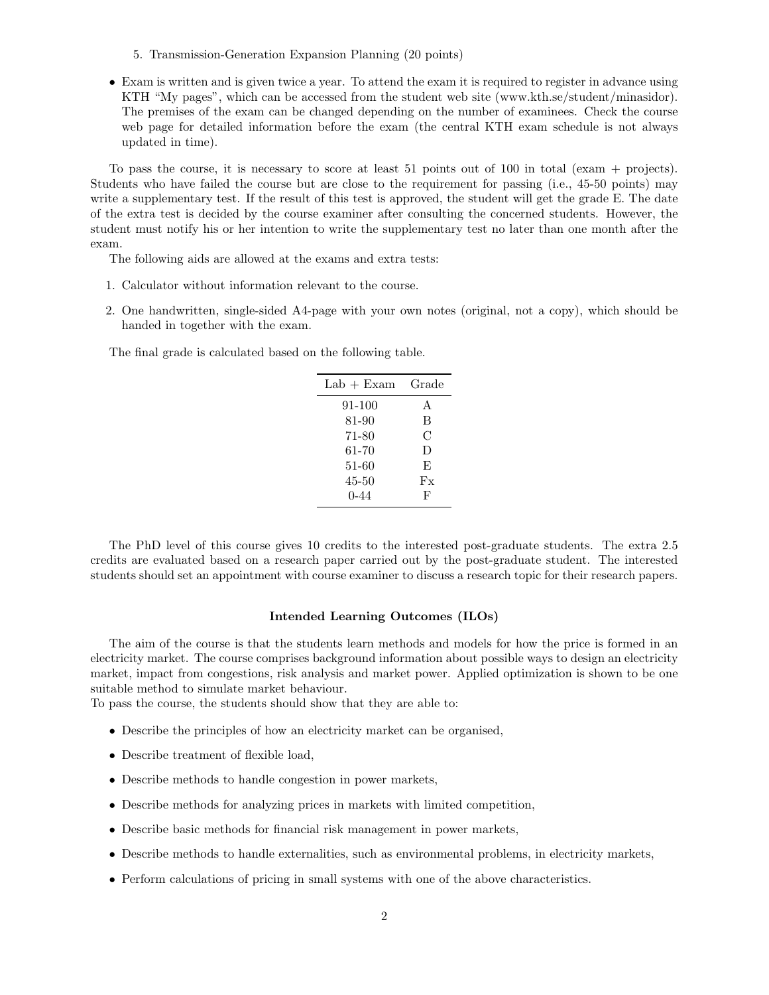- 5. Transmission-Generation Expansion Planning (20 points)
- Exam is written and is given twice a year. To attend the exam it is required to register in advance using KTH "My pages", which can be accessed from the student web site (www.kth.se/student/minasidor). The premises of the exam can be changed depending on the number of examinees. Check the course web page for detailed information before the exam (the central KTH exam schedule is not always updated in time).

To pass the course, it is necessary to score at least 51 points out of 100 in total (exam + projects). Students who have failed the course but are close to the requirement for passing (i.e., 45-50 points) may write a supplementary test. If the result of this test is approved, the student will get the grade E. The date of the extra test is decided by the course examiner after consulting the concerned students. However, the student must notify his or her intention to write the supplementary test no later than one month after the exam.

The following aids are allowed at the exams and extra tests:

- 1. Calculator without information relevant to the course.
- 2. One handwritten, single-sided A4-page with your own notes (original, not a copy), which should be handed in together with the exam.

The final grade is calculated based on the following table.

| $Lab + Exam$ | Grade |
|--------------|-------|
| 91-100       | A     |
| 81-90        | B     |
| 71-80        | C     |
| 61-70        | D     |
| 51-60        | E,    |
| 45-50        | Fx    |
| 0-44         | F     |

The PhD level of this course gives 10 credits to the interested post-graduate students. The extra 2.5 credits are evaluated based on a research paper carried out by the post-graduate student. The interested students should set an appointment with course examiner to discuss a research topic for their research papers.

## Intended Learning Outcomes (ILOs)

The aim of the course is that the students learn methods and models for how the price is formed in an electricity market. The course comprises background information about possible ways to design an electricity market, impact from congestions, risk analysis and market power. Applied optimization is shown to be one suitable method to simulate market behaviour.

To pass the course, the students should show that they are able to:

- Describe the principles of how an electricity market can be organised,
- Describe treatment of flexible load,
- Describe methods to handle congestion in power markets,
- Describe methods for analyzing prices in markets with limited competition,
- Describe basic methods for financial risk management in power markets,
- Describe methods to handle externalities, such as environmental problems, in electricity markets,
- Perform calculations of pricing in small systems with one of the above characteristics.